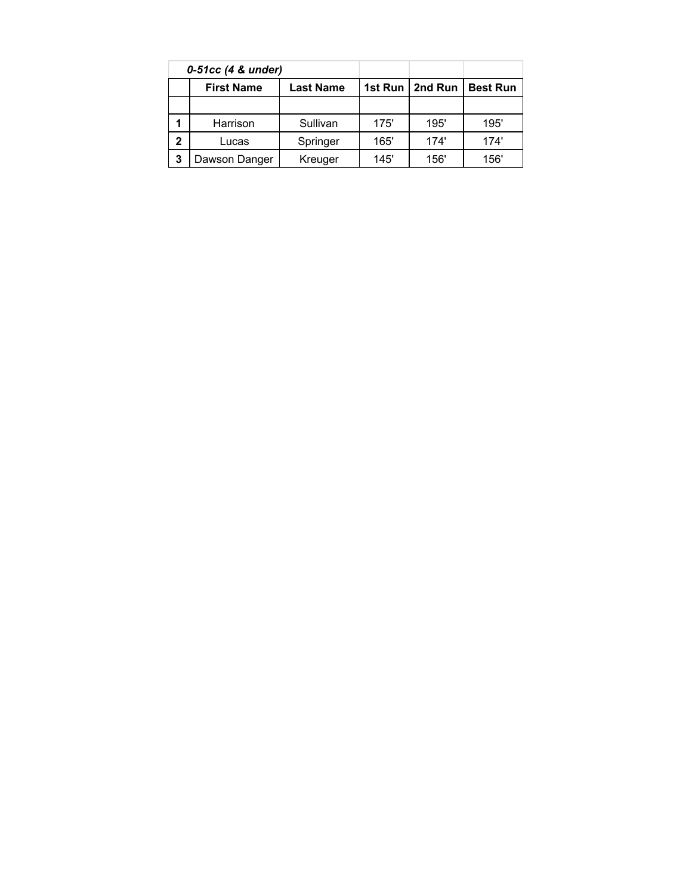| 0-51cc (4 & under) |                   |                  |      |                   |                 |
|--------------------|-------------------|------------------|------|-------------------|-----------------|
|                    | <b>First Name</b> | <b>Last Name</b> |      | 1st Run   2nd Run | <b>Best Run</b> |
|                    |                   |                  |      |                   |                 |
|                    | Harrison          | Sullivan         | 175' | 195'              | 195'            |
| 2                  | Lucas             | Springer         | 165' | 174'              | 174'            |
| 3                  | Dawson Danger     | Kreuger          | 145' | 156'              | 156'            |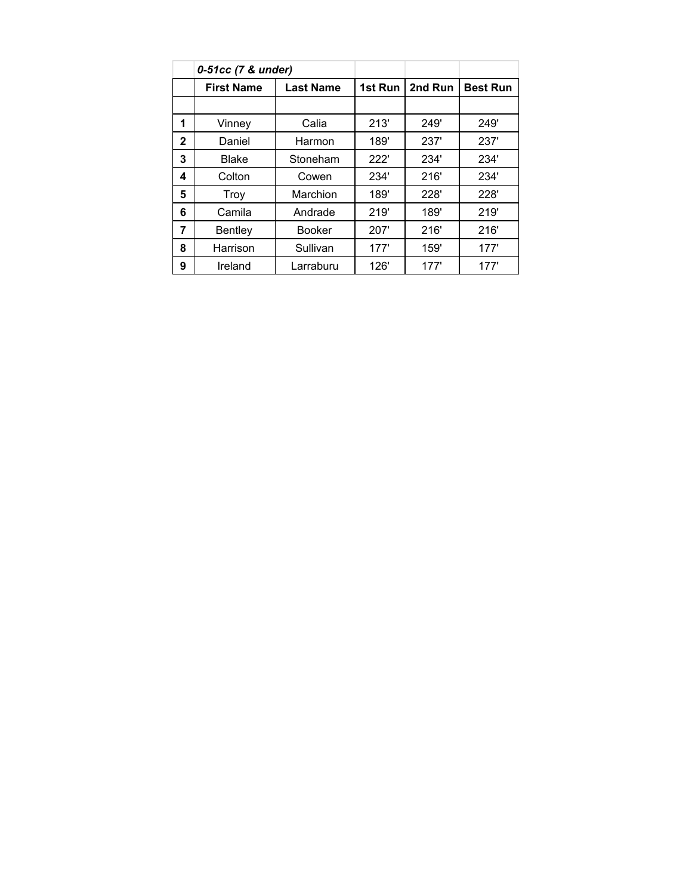|              | 0-51cc (7 & under) |                  |         |         |                 |
|--------------|--------------------|------------------|---------|---------|-----------------|
|              | <b>First Name</b>  | <b>Last Name</b> | 1st Run | 2nd Run | <b>Best Run</b> |
|              |                    |                  |         |         |                 |
| 1            | Vinney             | Calia            | 213'    | 249'    | 249'            |
| $\mathbf{2}$ | Daniel             | Harmon           | 189'    | 237'    | 237'            |
| 3            | <b>Blake</b>       | Stoneham         | 222'    | 234'    | 234'            |
| 4            | Colton             | Cowen            | 234'    | 216'    | 234'            |
| 5            | Troy               | Marchion         | 189'    | 228'    | 228'            |
| 6            | Camila             | Andrade          | 219'    | 189'    | 219'            |
| 7            | <b>Bentley</b>     | <b>Booker</b>    | 207'    | 216'    | 216'            |
| 8            | Harrison           | Sullivan         | 177'    | 159'    | 177'            |
| 9            | Ireland            | Larraburu        | 126'    | 177'    | 177'            |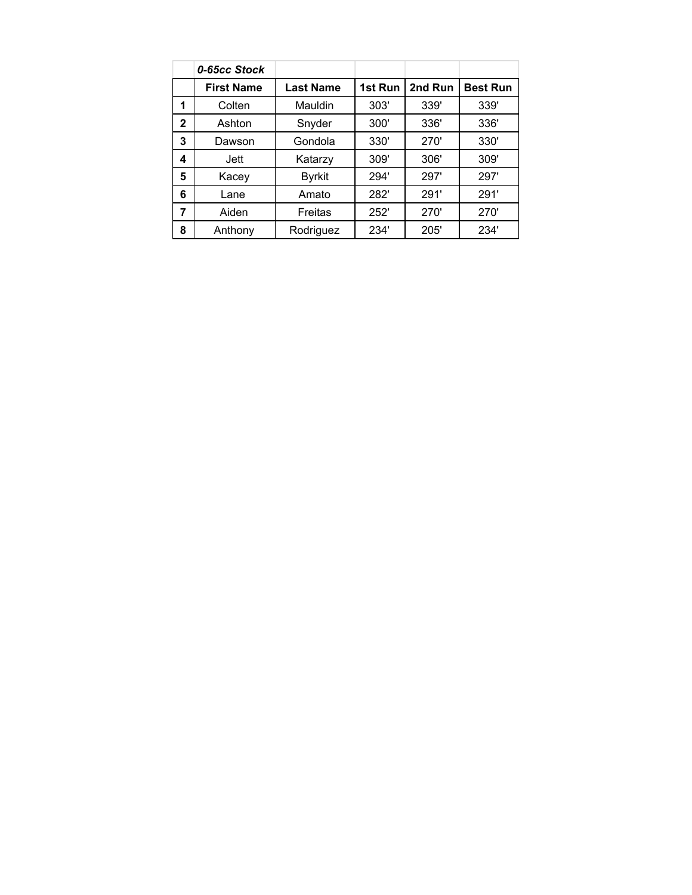|   | 0-65cc Stock      |                  |         |         |                 |
|---|-------------------|------------------|---------|---------|-----------------|
|   | <b>First Name</b> | <b>Last Name</b> | 1st Run | 2nd Run | <b>Best Run</b> |
| 1 | Colten            | Mauldin          | 303'    | 339'    | 339'            |
| 2 | Ashton            | Snyder           | 300'    | 336'    | 336'            |
| 3 | Dawson            | Gondola          | 330'    | 270'    | 330'            |
| 4 | Jett              | Katarzy          | 309'    | 306'    | 309'            |
| 5 | Kacey             | <b>Byrkit</b>    | 294'    | 297'    | 297'            |
| 6 | Lane              | Amato            | 282'    | 291'    | 291'            |
| 7 | Aiden             | Freitas          | 252'    | 270'    | 270'            |
| 8 | Anthony           | Rodriguez        | 234'    | 205'    | 234'            |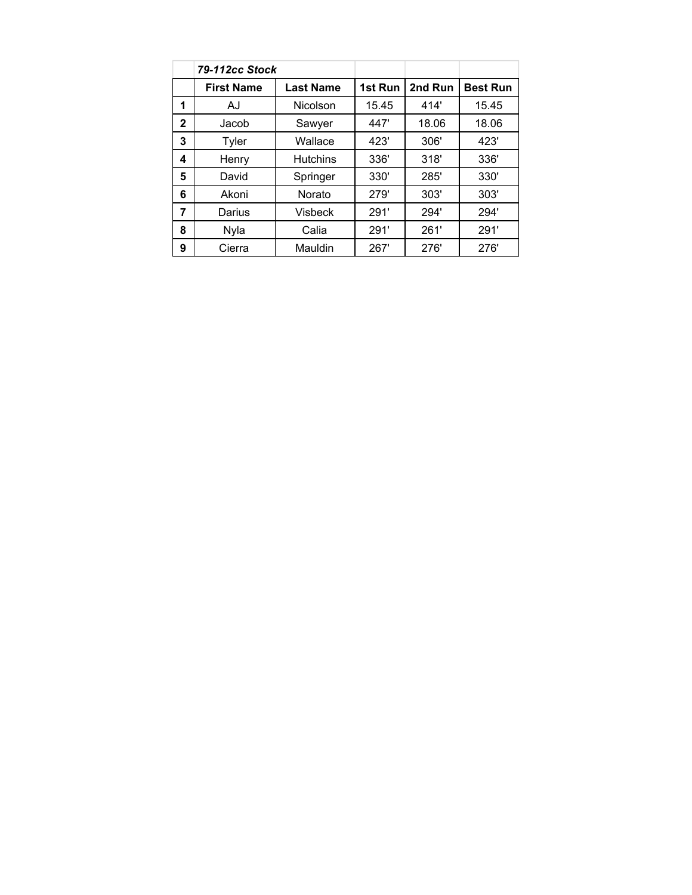|                | 79-112cc Stock    |                  |         |         |                 |
|----------------|-------------------|------------------|---------|---------|-----------------|
|                | <b>First Name</b> | <b>Last Name</b> | 1st Run | 2nd Run | <b>Best Run</b> |
| 1              | AJ                | Nicolson         | 15.45   | 414'    | 15.45           |
| $\mathbf{2}$   | Jacob             | Sawyer           | 447'    | 18.06   | 18.06           |
| 3              | Tyler             | Wallace          | 423'    | 306'    | 423'            |
| 4              | Henry             | <b>Hutchins</b>  | 336'    | 318'    | 336'            |
| 5              | David             | Springer         | 330'    | 285'    | 330'            |
| 6              | Akoni             | <b>Norato</b>    | 279'    | 303'    | 303'            |
| $\overline{7}$ | Darius            | <b>Visbeck</b>   | 291'    | 294'    | 294'            |
| 8              | Nyla              | Calia            | 291'    | 261'    | 291'            |
| 9              | Cierra            | Mauldin          | 267'    | 276'    | 276'            |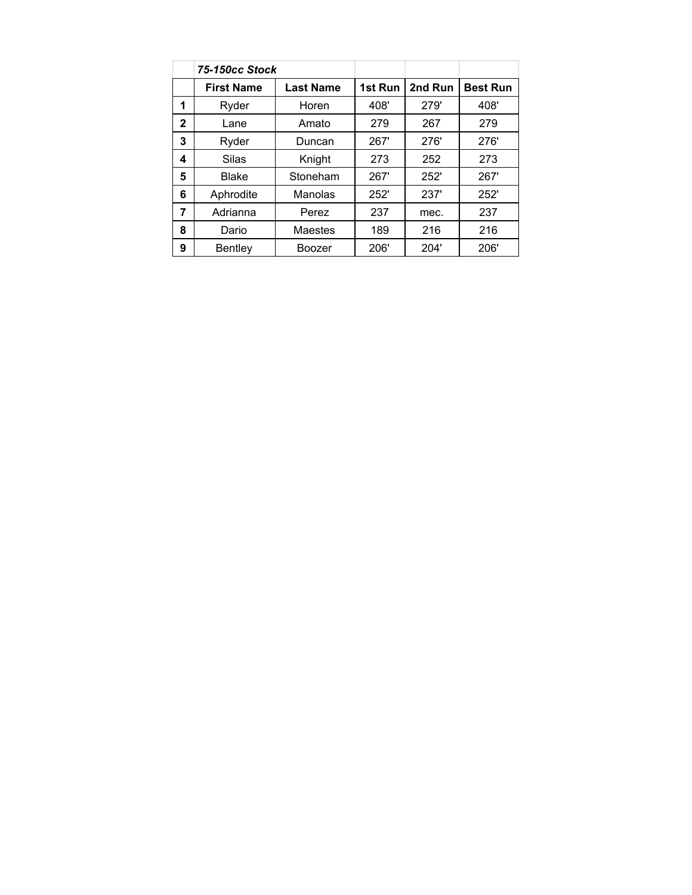|              | 75-150cc Stock    |                  |         |         |                 |
|--------------|-------------------|------------------|---------|---------|-----------------|
|              | <b>First Name</b> | <b>Last Name</b> | 1st Run | 2nd Run | <b>Best Run</b> |
| 1            | Ryder             | Horen            | 408'    | 279'    | 408'            |
| $\mathbf{2}$ | Lane              | Amato            | 279     | 267     | 279             |
| 3            | Ryder             | Duncan           | 267'    | 276'    | 276'            |
| 4            | Silas             | Knight           | 273     | 252     | 273             |
| 5            | Blake             | Stoneham         | 267'    | 252'    | 267'            |
| 6            | Aphrodite         | Manolas          | 252'    | 237'    | 252'            |
| 7            | Adrianna          | Perez            | 237     | mec.    | 237             |
| 8            | Dario             | Maestes          | 189     | 216     | 216             |
| 9            | Bentley           | Boozer           | 206'    | 204'    | 206'            |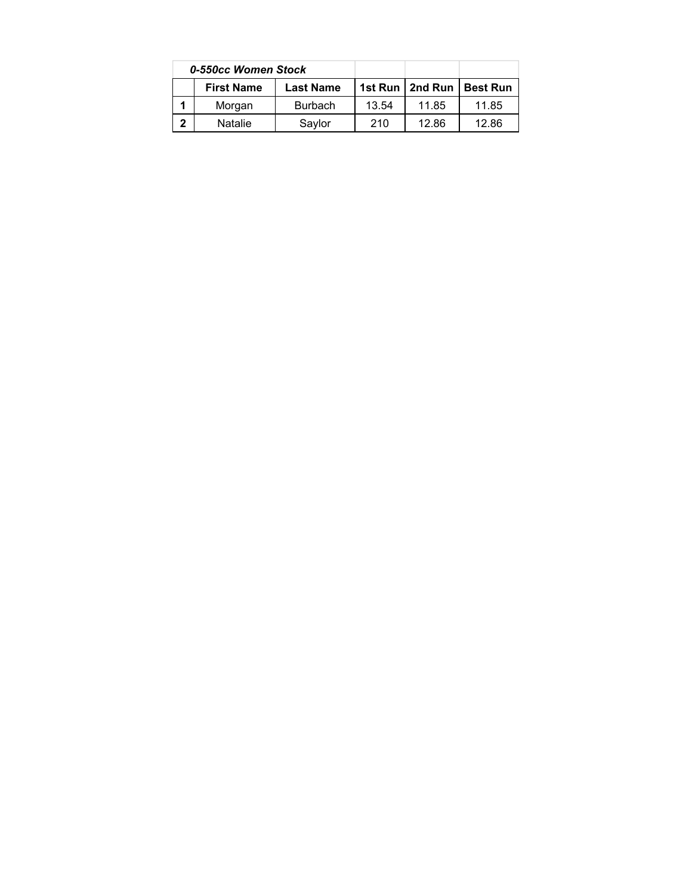|              | 0-550cc Women Stock |                  |       |                   |                 |
|--------------|---------------------|------------------|-------|-------------------|-----------------|
|              | <b>First Name</b>   | <b>Last Name</b> |       | 1st Run   2nd Run | <b>Best Run</b> |
|              | Morgan              | <b>Burbach</b>   | 13.54 | 11.85             | 11.85           |
| $\mathbf{2}$ | <b>Natalie</b>      | Saylor           | 210   | 12.86             | 12.86           |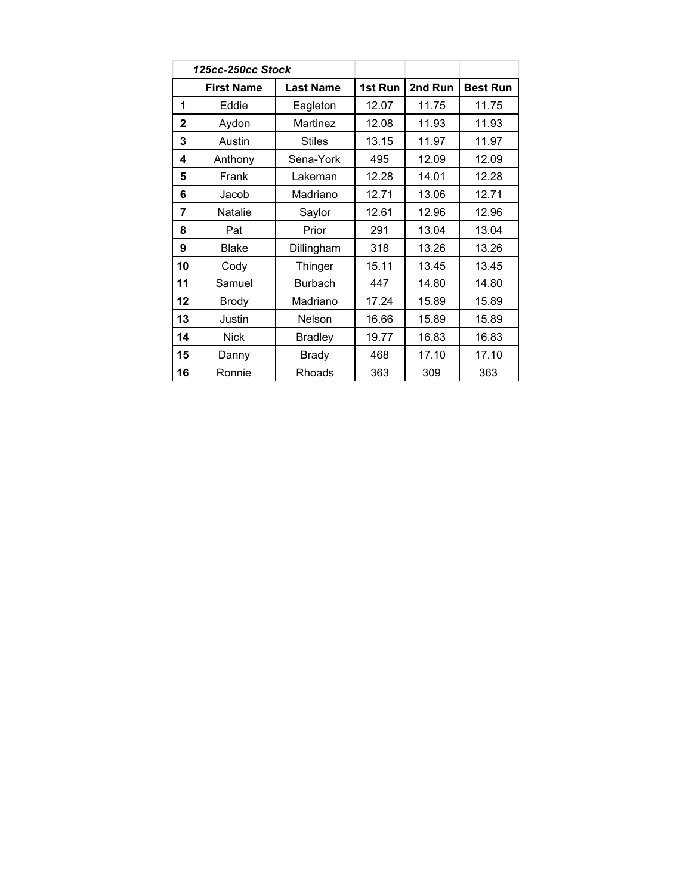| 125cc-250cc Stock |                   |                  |         |         |                 |
|-------------------|-------------------|------------------|---------|---------|-----------------|
|                   | <b>First Name</b> | <b>Last Name</b> | 1st Run | 2nd Run | <b>Best Run</b> |
| 1                 | Eddie             | Eagleton         | 12.07   | 11.75   | 11.75           |
| $\overline{2}$    | Aydon             | Martinez         | 12.08   | 11.93   | 11.93           |
| 3                 | Austin            | <b>Stiles</b>    | 13.15   | 11.97   | 11.97           |
| 4                 | Anthony           | Sena-York        | 495     | 12.09   | 12.09           |
| 5                 | Frank             | Lakeman          | 12.28   | 14.01   | 12.28           |
| 6                 | Jacob             | Madriano         | 12.71   | 13.06   | 12.71           |
| 7                 | Natalie           | Saylor           | 12.61   | 12.96   | 12.96           |
| 8                 | Pat               | Prior            | 291     | 13.04   | 13.04           |
| 9                 | <b>Blake</b>      | Dillingham       | 318     | 13.26   | 13.26           |
| 10                | Cody              | Thinger          | 15.11   | 13.45   | 13.45           |
| 11                | Samuel            | <b>Burbach</b>   | 447     | 14.80   | 14.80           |
| 12                | <b>Brody</b>      | Madriano         | 17.24   | 15.89   | 15.89           |
| 13                | Justin            | Nelson           | 16.66   | 15.89   | 15.89           |
| 14                | <b>Nick</b>       | <b>Bradley</b>   | 19.77   | 16.83   | 16.83           |
| 15                | Danny             | <b>Brady</b>     | 468     | 17.10   | 17.10           |
| 16                | Ronnie            | Rhoads           | 363     | 309     | 363             |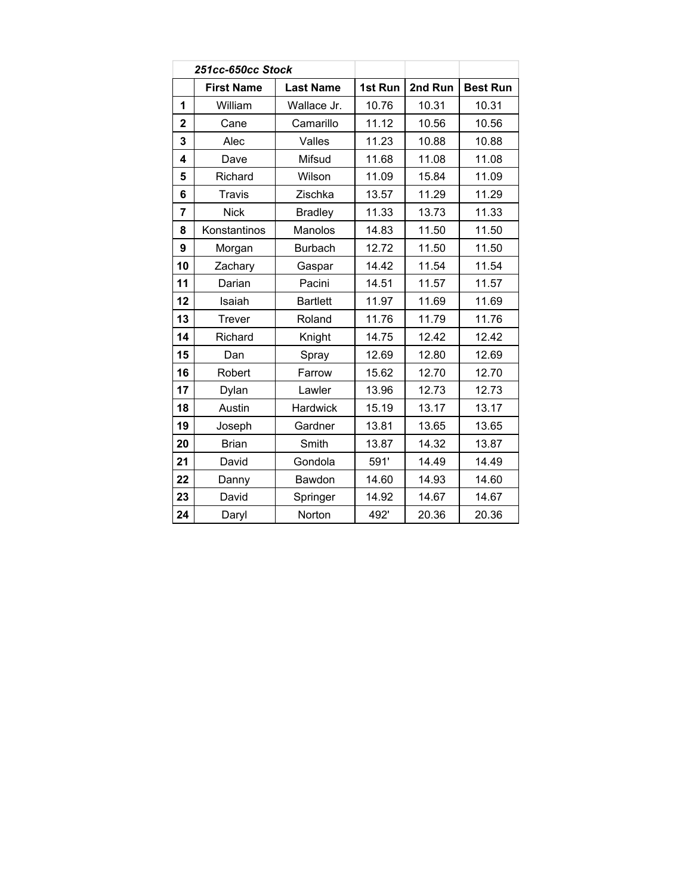|              | 251cc-650cc Stock |                  |         |         |                 |
|--------------|-------------------|------------------|---------|---------|-----------------|
|              | <b>First Name</b> | <b>Last Name</b> | 1st Run | 2nd Run | <b>Best Run</b> |
| 1            | William           | Wallace Jr.      | 10.76   | 10.31   | 10.31           |
| $\mathbf{2}$ | Cane              | Camarillo        | 11.12   | 10.56   | 10.56           |
| 3            | Alec              | Valles           | 11.23   | 10.88   | 10.88           |
| 4            | Dave              | Mifsud           | 11.68   | 11.08   | 11.08           |
| 5            | Richard           | Wilson           | 11.09   | 15.84   | 11.09           |
| 6            | <b>Travis</b>     | Zischka          | 13.57   | 11.29   | 11.29           |
| 7            | <b>Nick</b>       | <b>Bradley</b>   | 11.33   | 13.73   | 11.33           |
| 8            | Konstantinos      | Manolos          | 14.83   | 11.50   | 11.50           |
| 9            | Morgan            | <b>Burbach</b>   | 12.72   | 11.50   | 11.50           |
| 10           | Zachary           | Gaspar           | 14.42   | 11.54   | 11.54           |
| 11           | Darian            | Pacini           | 14.51   | 11.57   | 11.57           |
| 12           | Isaiah            | <b>Bartlett</b>  | 11.97   | 11.69   | 11.69           |
| 13           | Trever            | Roland           | 11.76   | 11.79   | 11.76           |
| 14           | Richard           | Knight           | 14.75   | 12.42   | 12.42           |
| 15           | Dan               | Spray            | 12.69   | 12.80   | 12.69           |
| 16           | Robert            | Farrow           | 15.62   | 12.70   | 12.70           |
| 17           | Dylan             | Lawler           | 13.96   | 12.73   | 12.73           |
| 18           | Austin            | <b>Hardwick</b>  | 15.19   | 13.17   | 13.17           |
| 19           | Joseph            | Gardner          | 13.81   | 13.65   | 13.65           |
| 20           | <b>Brian</b>      | Smith            | 13.87   | 14.32   | 13.87           |
| 21           | David             | Gondola          | 591'    | 14.49   | 14.49           |
| 22           | Danny             | Bawdon           | 14.60   | 14.93   | 14.60           |
| 23           | David             | Springer         | 14.92   | 14.67   | 14.67           |
| 24           | Daryl             | Norton           | 492'    | 20.36   | 20.36           |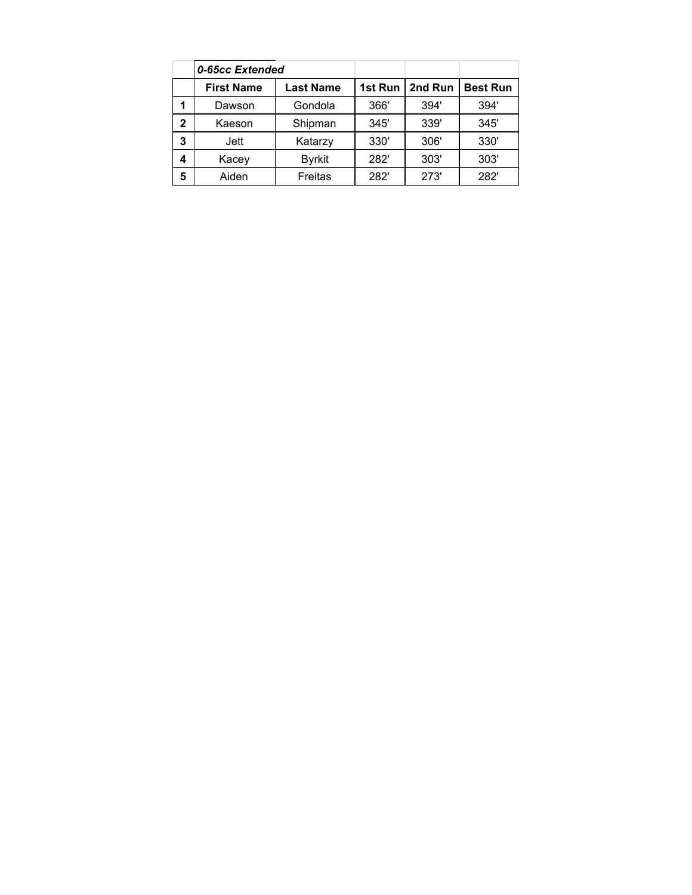|              | 0-65cc Extended   |                  |         |         |                 |
|--------------|-------------------|------------------|---------|---------|-----------------|
|              | <b>First Name</b> | <b>Last Name</b> | 1st Run | 2nd Run | <b>Best Run</b> |
|              | Dawson            | Gondola          | 366'    | 394'    | 394'            |
| $\mathbf{2}$ | Kaeson            | Shipman          | 345'    | 339'    | 345'            |
| 3            | Jett              | Katarzy          | 330'    | 306'    | 330'            |
| 4            | Kacey             | <b>Byrkit</b>    | 282'    | 303'    | 303'            |
| 5            | Aiden             | Freitas          | 282'    | 273'    | 282'            |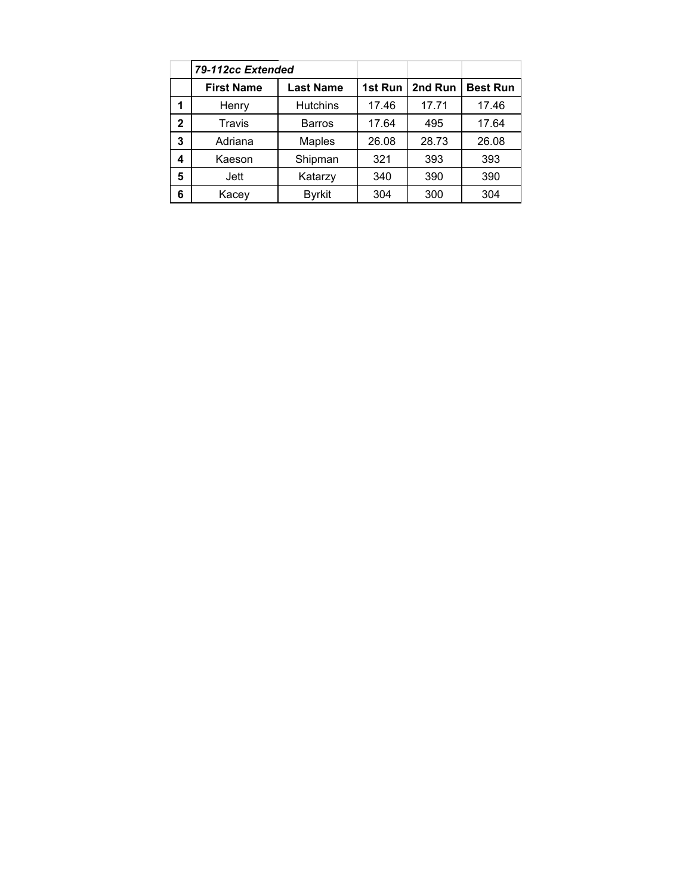|              | 79-112cc Extended |                  |         |         |                 |
|--------------|-------------------|------------------|---------|---------|-----------------|
|              | <b>First Name</b> | <b>Last Name</b> | 1st Run | 2nd Run | <b>Best Run</b> |
| 1            | Henry             | <b>Hutchins</b>  | 17.46   | 17.71   | 17.46           |
| $\mathbf{2}$ | Travis            | <b>Barros</b>    | 17.64   | 495     | 17.64           |
| 3            | Adriana           | <b>Maples</b>    | 26.08   | 28.73   | 26.08           |
| 4            | Kaeson            | Shipman          | 321     | 393     | 393             |
| 5            | Jett              | Katarzy          | 340     | 390     | 390             |
| 6            | Kacey             | <b>Byrkit</b>    | 304     | 300     | 304             |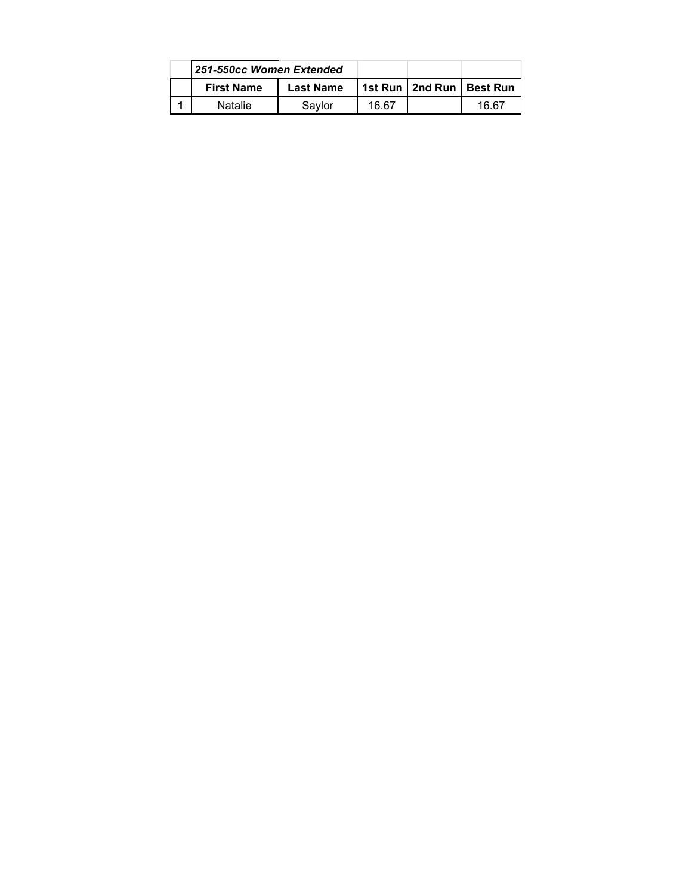| 251-550cc Women Extended |                  |       |                              |
|--------------------------|------------------|-------|------------------------------|
| <b>First Name</b>        | <b>Last Name</b> |       | 1st Run   2nd Run   Best Run |
| Natalie                  | Saylor           | 16.67 | 16.67                        |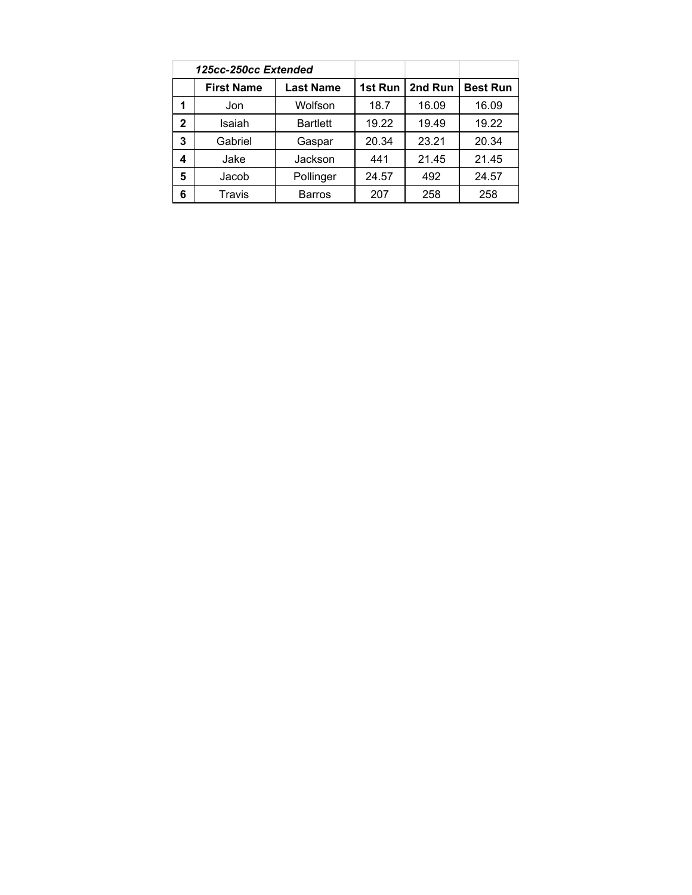|              | 125cc-250cc Extended |                  |         |         |                 |
|--------------|----------------------|------------------|---------|---------|-----------------|
|              | <b>First Name</b>    | <b>Last Name</b> | 1st Run | 2nd Run | <b>Best Run</b> |
| 1            | Jon                  | Wolfson          | 18.7    | 16.09   | 16.09           |
| $\mathbf{2}$ | Isaiah               | <b>Bartlett</b>  | 19.22   | 19.49   | 19.22           |
| 3            | Gabriel              | Gaspar           | 20.34   | 23.21   | 20.34           |
| 4            | Jake                 | Jackson          | 441     | 21.45   | 21.45           |
| 5            | Jacob                | Pollinger        | 24.57   | 492     | 24.57           |
| 6            | Travis               | <b>Barros</b>    | 207     | 258     | 258             |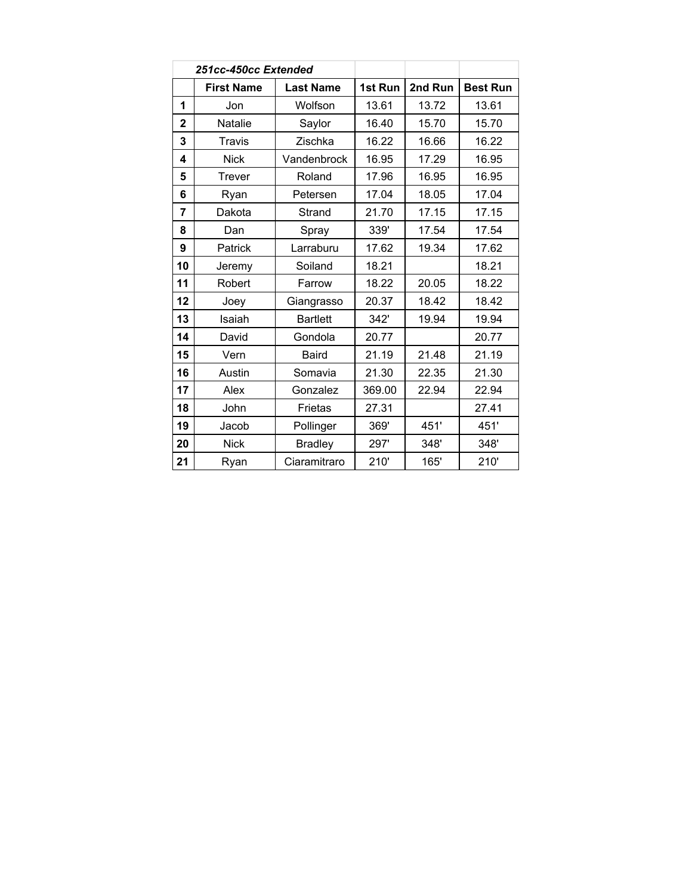|                  | 251cc-450cc Extended |                  |         |         |                 |
|------------------|----------------------|------------------|---------|---------|-----------------|
|                  | <b>First Name</b>    | <b>Last Name</b> | 1st Run | 2nd Run | <b>Best Run</b> |
| 1                | Jon                  | Wolfson          | 13.61   | 13.72   | 13.61           |
| $\overline{2}$   | Natalie              | Saylor           | 16.40   | 15.70   | 15.70           |
| 3                | <b>Travis</b>        | Zischka          | 16.22   | 16.66   | 16.22           |
| $\boldsymbol{4}$ | <b>Nick</b>          | Vandenbrock      | 16.95   | 17.29   | 16.95           |
| 5                | <b>Trever</b>        | Roland           | 17.96   | 16.95   | 16.95           |
| 6                | Ryan                 | Petersen         | 17.04   | 18.05   | 17.04           |
| $\overline{7}$   | Dakota               | Strand           | 21.70   | 17.15   | 17.15           |
| 8                | Dan                  | Spray            | 339'    | 17.54   | 17.54           |
| 9                | Patrick              | Larraburu        | 17.62   | 19.34   | 17.62           |
| 10               | Jeremy               | Soiland          | 18.21   |         | 18.21           |
| 11               | Robert               | Farrow           | 18.22   | 20.05   | 18.22           |
| 12               | Joey                 | Giangrasso       | 20.37   | 18.42   | 18.42           |
| 13               | Isaiah               | <b>Bartlett</b>  | 342'    | 19.94   | 19.94           |
| 14               | David                | Gondola          | 20.77   |         | 20.77           |
| 15               | Vern                 | <b>Baird</b>     | 21.19   | 21.48   | 21.19           |
| 16               | Austin               | Somavia          | 21.30   | 22.35   | 21.30           |
| 17               | Alex                 | Gonzalez         | 369.00  | 22.94   | 22.94           |
| 18               | John                 | Frietas          | 27.31   |         | 27.41           |
| 19               | Jacob                | Pollinger        | 369'    | 451'    | 451'            |
| 20               | <b>Nick</b>          | <b>Bradley</b>   | 297'    | 348'    | 348'            |
| 21               | Ryan                 | Ciaramitraro     | 210'    | 165'    | 210'            |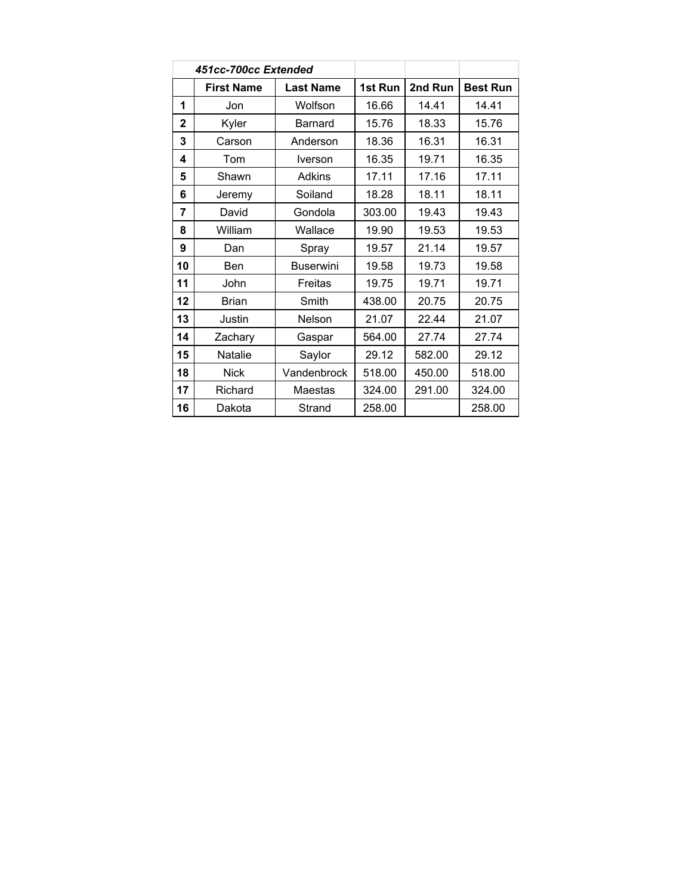|                | 451cc-700cc Extended |                  |         |         |                 |
|----------------|----------------------|------------------|---------|---------|-----------------|
|                | <b>First Name</b>    | <b>Last Name</b> | 1st Run | 2nd Run | <b>Best Run</b> |
| 1              | Jon                  | Wolfson          | 16.66   | 14.41   | 14.41           |
| $\overline{2}$ | Kyler                | <b>Barnard</b>   | 15.76   | 18.33   | 15.76           |
| 3              | Carson               | Anderson         | 18.36   | 16.31   | 16.31           |
| 4              | Tom                  | Iverson          | 16.35   | 19.71   | 16.35           |
| 5              | Shawn                | Adkins           | 17.11   | 17.16   | 17.11           |
| 6              | Jeremy               | Soiland          | 18.28   | 18.11   | 18.11           |
| 7              | David                | Gondola          | 303.00  | 19.43   | 19.43           |
| 8              | William              | Wallace          | 19.90   | 19.53   | 19.53           |
| 9              | Dan                  | Spray            | 19.57   | 21.14   | 19.57           |
| 10             | Ben                  | <b>Buserwini</b> | 19.58   | 19.73   | 19.58           |
| 11             | John                 | <b>Freitas</b>   | 19.75   | 19.71   | 19.71           |
| 12             | <b>Brian</b>         | Smith            | 438.00  | 20.75   | 20.75           |
| 13             | Justin               | Nelson           | 21.07   | 22.44   | 21.07           |
| 14             | Zachary              | Gaspar           | 564.00  | 27.74   | 27.74           |
| 15             | Natalie              | Saylor           | 29.12   | 582.00  | 29.12           |
| 18             | <b>Nick</b>          | Vandenbrock      | 518.00  | 450.00  | 518.00          |
| 17             | Richard              | Maestas          | 324.00  | 291.00  | 324.00          |
| 16             | Dakota               | Strand           | 258.00  |         | 258.00          |